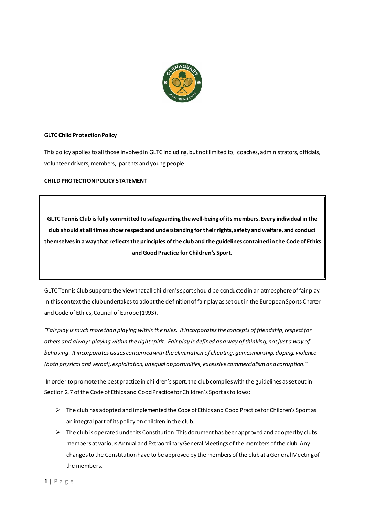

# **GLTC Child Protection Policy**

This policy applies to all those involved in GLTC including, but not limited to, coaches, administrators, officials, volunteer drivers, members, parents and young people.

# **CHILD PROTECTION POLICY STATEMENT**

**GLTC Tennis Club is fully committed to safeguarding the well-being of its members. Every individual in the club should at all times show respect and understanding for their rights, safety and welfare, and conduct themselves in a way that reflects the principles of the club and the guidelines contained in the Code of Ethics and Good Practice for Children's Sport.**

GLTC Tennis Club supports the view that all children's sport should be conducted in an atmosphere of fair play. In this context the club undertakes to adopt the definition of fair play as set out in the European Sports Charter and Code of Ethics, Council of Europe (1993).

*"Fair play is much more than playing within the rules. It incorporates the concepts of friendship, respect for others and always playing within the right spirit. Fair play is defined as a way of thinking, not just a way of behaving. It incorporates issues concerned with the elimination of cheating, gamesmanship, doping, violence (both physical and verbal), exploitation, unequal opportunities, excessive commercialism and corruption."*

In order to promote the best practice in children's sport, the club complies with the guidelines as set out in Section 2.7 of the Code of Ethics and Good Practice for Children's Sport as follows:

- $\triangleright$  The club has adopted and implemented the Code of Ethics and Good Practice for Children's Sport as an integral part of its policy on children in the club.
- $\triangleright$  The club is operated under its Constitution. This document has been approved and adopted by clubs members at various Annual and Extraordinary General Meetings of the members of the club. Any changes to the Constitution have to be approved by the members of the club at a General Meeting of the members.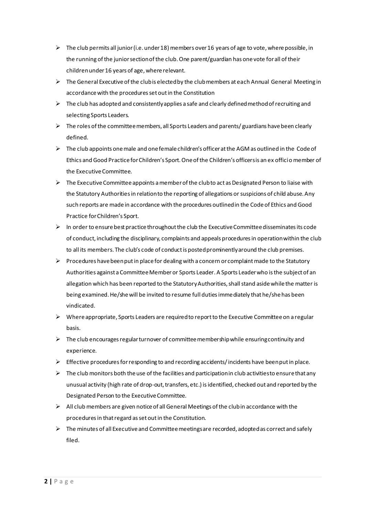- $\triangleright$  The club permits all junior (i.e. under 18) members over 16 years of age to vote, where possible, in the running of the junior section of the club. One parent/guardian has one vote for all of their children under 16 years of age, where relevant.
- $\triangleright$  The General Executive of the club is elected by the club members at each Annual General Meeting in accordance with the procedures set out in the Constitution
- $\triangleright$  The club has adopted and consistently applies a safe and clearly defined method of recruiting and selecting Sports Leaders.
- $\triangleright$  The roles of the committee members, all Sports Leaders and parents/ guardians have been clearly defined.
- $\triangleright$  The club appoints one male and one female children's officer at the AGM as outlined in the Code of Ethics and Good Practice for Children's Sport. One of the Children's officers is an ex officio member of the Executive Committee.
- $\triangleright$  The Executive Committee appoints a member of the clubto act as Designated Person to liaise with the Statutory Authorities in relation to the reporting of allegations or suspicions of child abuse. Any such reports are made in accordance with the procedures outlined in the Code of Ethics and Good Practice for Children's Sport.
- $\triangleright$  In order to ensure best practice throughout the club the Executive Committee disseminates its code of conduct, including the disciplinary, complaints and appeals procedures in operation within the club to all its members. The club's code of conduct is posted prominently around the club premises.
- $\triangleright$  Procedures have been put in place for dealing with a concern or complaint made to the Statutory Authorities against a Committee Member or Sports Leader. A Sports Leader who is the subject of an allegation which has been reported to the Statutory Authorities, shall stand aside while the matter is being examined. He/she will be invited to resume full duties immediately that he/she has been vindicated.
- $\triangleright$  Where appropriate, Sports Leaders are required to report to the Executive Committee on a regular basis.
- $\triangleright$  The club encourages regular turnover of committee membership while ensuring continuity and experience.
- $\triangleright$  Effective procedures for responding to and recording accidents/incidents have been put in place.
- $\triangleright$  The club monitors both the use of the facilities and participation in club activities to ensure that any unusual activity (high rate of drop-out, transfers, etc.) is identified, checked out and reported by the Designated Person to the Executive Committee.
- $\triangleright$  All club members are given notice of all General Meetings of the club in accordance with the procedures in that regard as set out in the Constitution.
- $\triangleright$  The minutes of all Executive and Committee meetings are recorded, adopted as correct and safely filed.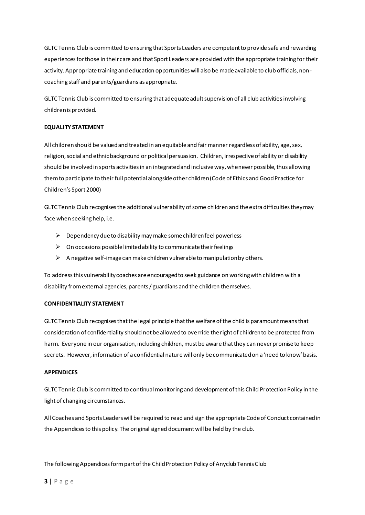GLTC Tennis Club is committed to ensuring that Sports Leaders are competent to provide safe and rewarding experiences for those in their care and that Sport Leaders are provided with the appropriate training for their activity. Appropriate training and education opportunities will also be made available to club officials, noncoaching staff and parents/guardians as appropriate.

GLTC Tennis Club is committed to ensuring that adequate adult supervision of all club activities involving children is provided.

## **EQUALITY STATEMENT**

All children should be valued and treated in an equitable and fair manner regardless of ability, age, sex, religion, social and ethnic background or political persuasion. Children, irrespective of ability or disability should be involved in sports activities in an integrated and inclusive way, whenever possible, thus allowing them to participate to their full potential alongside other children (Code of Ethics and Good Practice for Children's Sport 2000)

GLTC Tennis Club recognises the additional vulnerability of some children and the extra difficulties they may face when seeking help, i.e.

- $\triangleright$  Dependency due to disability may make some children feel powerless
- $\triangleright$  On occasions possible limited ability to communicate their feelings
- $\triangleright$  A negative self-image can make children vulnerable to manipulation by others.

To address this vulnerability coaches are encouraged to seek guidance on working with children with a disability from external agencies, parents / guardians and the children themselves.

## **CONFIDENTIALITY STATEMENT**

GLTC Tennis Club recognises that the legal principle that the welfare of the child is paramount means that consideration of confidentiality should not be allowed to override the right of children to be protected from harm. Everyone in our organisation, including children, must be aware that they can never promise to keep secrets. However, information of a confidential nature will only be communicated on a 'need to know' basis.

## **APPENDICES**

GLTC Tennis Club is committed to continual monitoring and development of this Child Protection Policy in the light of changing circumstances.

All Coaches and Sports Leaders will be required to read and sign the appropriate Code of Conduct contained in the Appendices to this policy. The original signed document will be held by the club.

The following Appendices form part of the Child Protection Policy of Anyclub Tennis Club